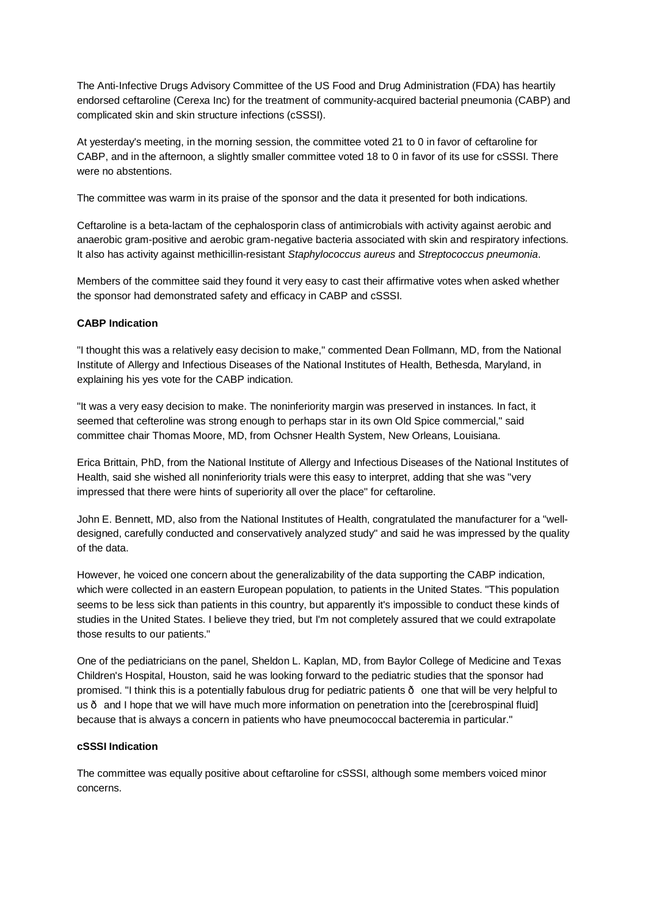The Anti-Infective Drugs Advisory Committee of the US Food and Drug Administration (FDA) has heartily endorsed ceftaroline (Cerexa Inc) for the treatment of community-acquired bacterial pneumonia (CABP) and complicated skin and skin structure infections (cSSSI).

At yesterday's meeting, in the morning session, the committee voted 21 to 0 in favor of ceftaroline for CABP, and in the afternoon, a slightly smaller committee voted 18 to 0 in favor of its use for cSSSI. There were no abstentions.

The committee was warm in its praise of the sponsor and the data it presented for both indications.

Ceftaroline is a beta-lactam of the cephalosporin class of antimicrobials with activity against aerobic and anaerobic gram-positive and aerobic gram-negative bacteria associated with skin and respiratory infections. It also has activity against methicillin-resistant *Staphylococcus aureus* and *Streptococcus pneumonia*.

Members of the committee said they found it very easy to cast their affirmative votes when asked whether the sponsor had demonstrated safety and efficacy in CABP and cSSSI.

## **CABP Indication**

"I thought this was a relatively easy decision to make," commented Dean Follmann, MD, from the National Institute of Allergy and Infectious Diseases of the National Institutes of Health, Bethesda, Maryland, in explaining his yes vote for the CABP indication.

"It was a very easy decision to make. The noninferiority margin was preserved in instances. In fact, it seemed that cefteroline was strong enough to perhaps star in its own Old Spice commercial," said committee chair Thomas Moore, MD, from Ochsner Health System, New Orleans, Louisiana.

Erica Brittain, PhD, from the National Institute of Allergy and Infectious Diseases of the National Institutes of Health, said she wished all noninferiority trials were this easy to interpret, adding that she was "very impressed that there were hints of superiority all over the place" for ceftaroline.

John E. Bennett, MD, also from the National Institutes of Health, congratulated the manufacturer for a "welldesigned, carefully conducted and conservatively analyzed study" and said he was impressed by the quality of the data.

However, he voiced one concern about the generalizability of the data supporting the CABP indication, which were collected in an eastern European population, to patients in the United States. "This population seems to be less sick than patients in this country, but apparently it's impossible to conduct these kinds of studies in the United States. I believe they tried, but I'm not completely assured that we could extrapolate those results to our patients."

One of the pediatricians on the panel, Sheldon L. Kaplan, MD, from Baylor College of Medicine and Texas Children's Hospital, Houston, said he was looking forward to the pediatric studies that the sponsor had promised. "I think this is a potentially fabulous drug for pediatric patients — one that will be very helpful to us  $\cdot$  and I hope that we will have much more information on penetration into the [cerebrospinal fluid] because that is always a concern in patients who have pneumococcal bacteremia in particular."

## **cSSSI Indication**

The committee was equally positive about ceftaroline for cSSSI, although some members voiced minor concerns.